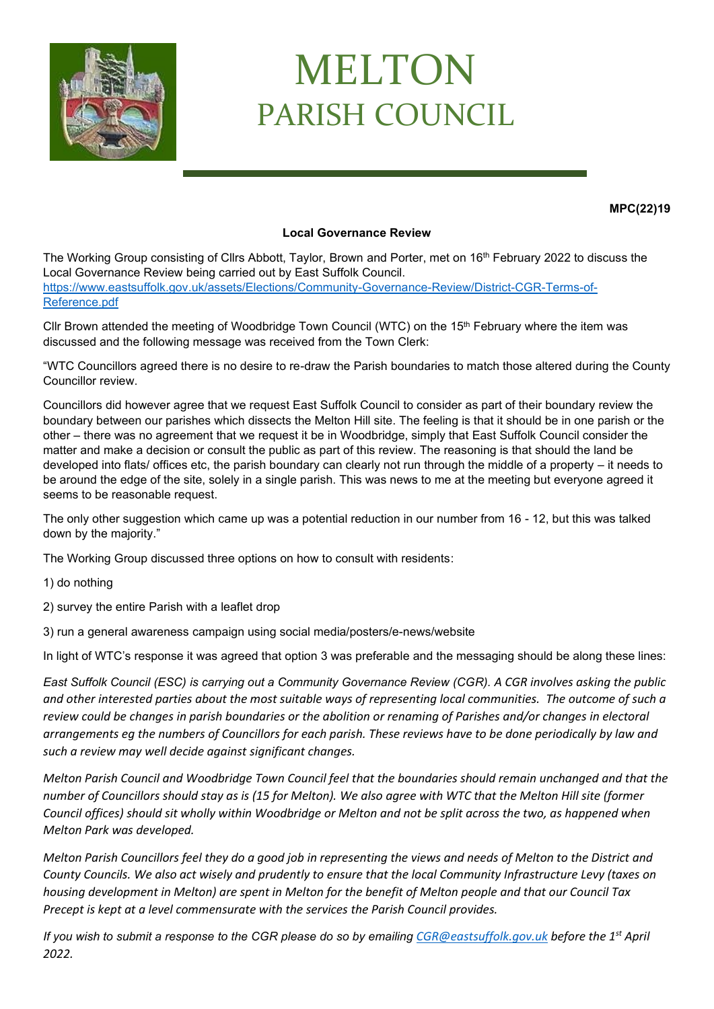

## MELTON PARISH COUNCIL

**MPC(22)19**

## **Local Governance Review**

The Working Group consisting of Cllrs Abbott, Taylor, Brown and Porter, met on 16<sup>th</sup> February 2022 to discuss the Local Governance Review being carried out by East Suffolk Council. [https://www.eastsuffolk.gov.uk/assets/Elections/Community-Governance-Review/District-CGR-Terms-of-](https://www.eastsuffolk.gov.uk/assets/Elections/Community-Governance-Review/District-CGR-Terms-of-Reference.pdf)[Reference.pdf](https://www.eastsuffolk.gov.uk/assets/Elections/Community-Governance-Review/District-CGR-Terms-of-Reference.pdf)

Cllr Brown attended the meeting of Woodbridge Town Council (WTC) on the  $15<sup>th</sup>$  February where the item was discussed and the following message was received from the Town Clerk:

"WTC Councillors agreed there is no desire to re-draw the Parish boundaries to match those altered during the County Councillor review.

Councillors did however agree that we request East Suffolk Council to consider as part of their boundary review the boundary between our parishes which dissects the Melton Hill site. The feeling is that it should be in one parish or the other – there was no agreement that we request it be in Woodbridge, simply that East Suffolk Council consider the matter and make a decision or consult the public as part of this review. The reasoning is that should the land be developed into flats/ offices etc, the parish boundary can clearly not run through the middle of a property – it needs to be around the edge of the site, solely in a single parish. This was news to me at the meeting but everyone agreed it seems to be reasonable request.

The only other suggestion which came up was a potential reduction in our number from 16 - 12, but this was talked down by the majority."

The Working Group discussed three options on how to consult with residents:

1) do nothing

2) survey the entire Parish with a leaflet drop

3) run a general awareness campaign using social media/posters/e-news/website

In light of WTC's response it was agreed that option 3 was preferable and the messaging should be along these lines:

*East Suffolk Council (ESC) is carrying out a Community Governance Review (CGR). A CGR involves asking the public and other interested parties about the most suitable ways of representing local communities. The outcome of such a review could be changes in parish boundaries or the abolition or renaming of Parishes and/or changes in electoral arrangements eg the numbers of Councillors for each parish. These reviews have to be done periodically by law and such a review may well decide against significant changes.*

*Melton Parish Council and Woodbridge Town Council feel that the boundaries should remain unchanged and that the number of Councillors should stay as is (15 for Melton). We also agree with WTC that the Melton Hill site (former Council offices) should sit wholly within Woodbridge or Melton and not be split across the two, as happened when Melton Park was developed.*

*Melton Parish Councillors feel they do a good job in representing the views and needs of Melton to the District and County Councils. We also act wisely and prudently to ensure that the local Community Infrastructure Levy (taxes on housing development in Melton) are spent in Melton for the benefit of Melton people and that our Council Tax Precept is kept at a level commensurate with the services the Parish Council provides.*

*If you wish to submit a response to the CGR please do so by emailing [CGR@eastsuffolk.gov.uk](mailto:CGR@eastsuffolk.gov.uk) before the 1st April 2022.*